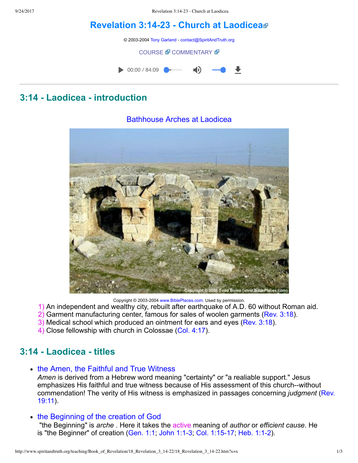# **[Revelation](http://www.spiritandtruth.org/teaching/Book_of_Revelation/18_Revelation_3_14-22/index.htm) 3:1423 Church at Laodicea**

© 2003-2004 [Tony Garland](http://www.spiritandtruth.org/teaching/teachers/tony_garland/bio.htm) - [contact@SpiritAndTruth.org](mailto:contact@SpiritAndTruth.org?subject=ST-MAIL:%20Revelation%203:14-23%20-%20Church%20at%20Laodicea)

#### **[COURSE](http://www.spiritandtruth.org/teaching/Book_of_Revelation/18_Revelation_3_14-22/index.htm) & [COMMENTARY](http://www.spiritandtruth.org/teaching/Book_of_Revelation/commentary/htm/index.html?Revelation_3:14) &**



# **3:14 Laodicea introduction**

#### Bathhouse Arches at Laodicea

Copyright © 2003-2004 [www.BiblePlaces.com](http://www.bibleplaces.com/). Used by permission.

- 1) An independent and wealthy city, rebuilt after earthquake of A.D. 60 without Roman aid.
- 2) Garment manufacturing center, famous for sales of woolen garments [\(Rev. 3:18](http://www.spiritandtruth.org/bibles/nasb/b66c003.htm#Rev._C3V18)).
- 3) Medical school which produced an ointment for ears and eyes [\(Rev. 3:18](http://www.spiritandtruth.org/bibles/nasb/b66c003.htm#Rev._C3V18)).
- 4) Close fellowship with church in Colossae [\(Col. 4:17\)](http://www.spiritandtruth.org/bibles/nasb/b51c004.htm#Col._C4V17).

# **3:14 Laodicea titles**

• the Amen, the Faithful and True Witness

Amen is derived from a Hebrew word meaning "certainty" or "a realiable support." Jesus emphasizes His faithful and true witness because of His assessment of this church--without [commendation! The verity of His witness is emphasized in passages concerning](http://www.spiritandtruth.org/bibles/nasb/b66c019.htm#Rev._C19V11) *judgment* (Rev. 19:11).

• the Beginning of the creation of God

 "the Beginning" is *arche* . Here it takes the active meaning of *author* or *efficient cause*. He is "the Beginner" of creation [\(Gen. 1:1](http://www.spiritandtruth.org/bibles/nasb/b01c001.htm#Gen._C1V1); John 1:1-3; Col. 1:15-17; Heb. 1:1-2).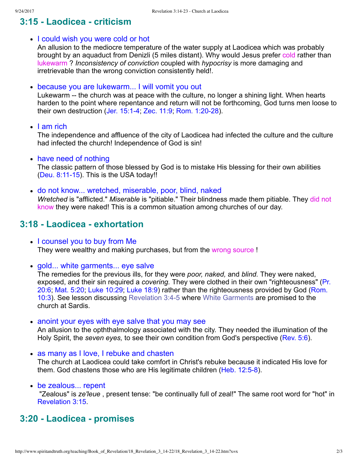# **3:15 Laodicea criticism**

• I could wish you were cold or hot

An allusion to the mediocre temperature of the water supply at Laodicea which was probably brought by an aquaduct from Denizli (5 miles distant). Why would Jesus prefer cold rather than lukewarm ? *Inconsistency of conviction* coupled with *hypocrisy* is more damaging and irretrievable than the wrong conviction consistently held!.

because you are lukewarm... I will vomit you out

Lukewarm -- the church was at peace with the culture, no longer a shining light. When hearts harden to the point where repentance and return will not be forthcoming, God turns men loose to their own destruction (Jer. 15:1-4; [Zec. 11:9](http://www.spiritandtruth.org/bibles/nasb/b38c011.htm#Zec._C11V9); Rom. 1:20-28).

 $\cdot$  I am rich

The independence and affluence of the city of Laodicea had infected the culture and the culture had infected the church! Independence of God is sin!

• have need of nothing

The classic pattern of those blessed by God is to mistake His blessing for their own abilities  $(Deu. 8:11-15)$ . This is the USA today!!

do not know... wretched, miserable, poor, blind, naked *Wretched* is "afflicted." *Miserable* is "pitiable." Their blindness made them pitiable. They did not know they were naked! This is a common situation among churches of our day.

## **3:18 Laodicea exhortation**

- I counsel you to buy from Me They were wealthy and making purchases, but from the wrong source !
- gold... white garments... eye salve

The remedies for the previous ills, for they were *poor, naked,* and *blind.* They were naked, exposed, and their sin required a *covering.* They were clothed in their own "righteousness" (Pr. [20:6; Mat. 5:20; Luke 10:29; Luke 18:9\) rather than the righteousness provided by God \(Rom.](http://www.spiritandtruth.org/bibles/nasb/b45c010.htm#Rom._C10V3) 10:3). See lesson discussing [Revelation 3:45](http://www.spiritandtruth.org/teaching/Book_of_Revelation/16_Revelation_3_1-6/index.htm) where [White Garments](http://www.spiritandtruth.org/teaching/Book_of_Revelation/16_Revelation_3_1-6/index.htm) are promised to the church at Sardis.

• anoint your eyes with eye salve that you may see

An allusion to the opththalmology associated with the city. They needed the illumination of the Holy Spirit, the *seven eyes,* to see their own condition from God's perspective ([Rev. 5:6](http://www.spiritandtruth.org/bibles/nasb/b66c005.htm#Rev._C5V6)).

as many as I love, I rebuke and chasten

The church at Laodicea could take comfort in Christ's rebuke because it indicated His love for them. God chastens those who are His legitimate children (Heb. 12:5-8).

be zealous... repent

 "Zealous" is *ze'leue* , present tense: "be continually full of zeal!" The same root word for "hot" in [Revelation 3:15](http://www.spiritandtruth.org/bibles/nasb/b66c003.htm#Rev._C3V15).

## **3:20 Laodicea promises**